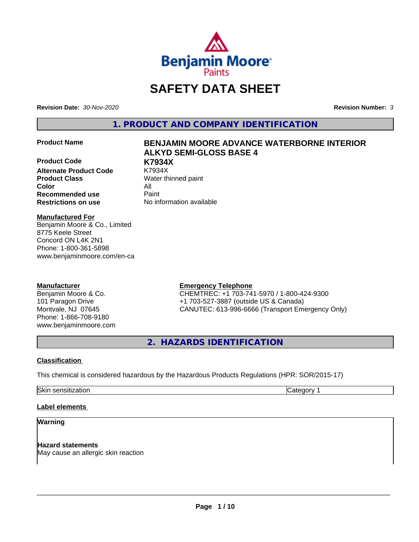

# **SAFETY DATA SHEET**

**Revision Date:** *30-Nov-2020* **Revision Number:** *3*

**1. PRODUCT AND COMPANY IDENTIFICATION**

**Product Code K7934X Alternate Product Code Product Class** Water thinned paint **Color** All **Recommended use** Paint **Restrictions on use** No information available

# **Product Name BENJAMIN MOORE ADVANCE WATERBORNE INTERIOR ALKYD SEMI-GLOSS BASE 4**

#### **Manufactured For**

Benjamin Moore & Co., Limited 8775 Keele Street Concord ON L4K 2N1 Phone: 1-800-361-5898 www.benjaminmoore.com/en-ca

# **Manufacturer**

Benjamin Moore & Co. 101 Paragon Drive Montvale, NJ 07645 Phone: 1-866-708-9180 www.benjaminmoore.com

# **Emergency Telephone**

CHEMTREC: +1 703-741-5970 / 1-800-424-9300 +1 703-527-3887 (outside US & Canada) CANUTEC: 613-996-6666 (Transport Emergency Only)

**2. HAZARDS IDENTIFICATION**

#### **Classification**

This chemical is considered hazardous by the Hazardous Products Regulations (HPR: SOR/2015-17)

Skin sensitization **Category 1** and Category 1

# **Label elements**

#### **Warning**

**Hazard statements** May cause an allergic skin reaction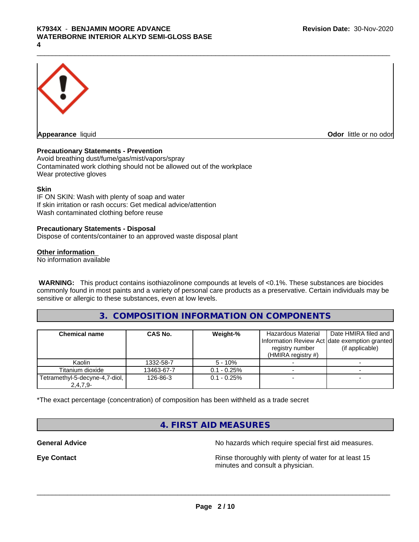

**Appearance** liquid **Contract Contract Contract Contract Contract Contract Contract Contract Contract Contract Contract Contract Contract Contract Contract Contract Contract Contract Contract Contract Contract Contract Con** 

#### **Precautionary Statements - Prevention**

Avoid breathing dust/fume/gas/mist/vapors/spray Contaminated work clothing should not be allowed out of the workplace Wear protective gloves

#### **Skin**

IF ON SKIN: Wash with plenty of soap and water If skin irritation or rash occurs: Get medical advice/attention Wash contaminated clothing before reuse

#### **Precautionary Statements - Disposal**

Dispose of contents/container to an approved waste disposal plant

#### **Other information**

No information available

 **WARNING:** This product contains isothiazolinone compounds at levels of <0.1%. These substances are biocides commonly found in most paints and a variety of personal care products as a preservative. Certain individuals may be sensitive or allergic to these substances, even at low levels.

# **3. COMPOSITION INFORMATION ON COMPONENTS**

| <b>Chemical name</b>           | CAS No.    | Weight-%       | Hazardous Material<br>registry number<br>(HMIRA registry $#$ ) | Date HMIRA filed and<br>Information Review Act date exemption granted<br>(if applicable) |
|--------------------------------|------------|----------------|----------------------------------------------------------------|------------------------------------------------------------------------------------------|
| Kaolin                         | 1332-58-7  | $5 - 10%$      |                                                                |                                                                                          |
| Titanium dioxide               | 13463-67-7 | $0.1 - 0.25\%$ |                                                                |                                                                                          |
| Tetramethyl-5-decyne-4,7-diol, | 126-86-3   | $0.1 - 0.25%$  |                                                                |                                                                                          |
| $2,4,7,9-$                     |            |                |                                                                |                                                                                          |

\*The exact percentage (concentration) of composition has been withheld as a trade secret

# **4. FIRST AID MEASURES**

**General Advice** No hazards which require special first aid measures.

**Eye Contact Exercise 20 All 20 All 20 All 20 All 20 All 20 All 20 All 20 All 20 All 20 All 20 All 20 All 20 All 20 All 20 All 20 All 20 All 20 All 20 All 20 All 20 All 20 All 20 All 20 All 20 All 20 All 20 All 20 All 20** minutes and consult a physician.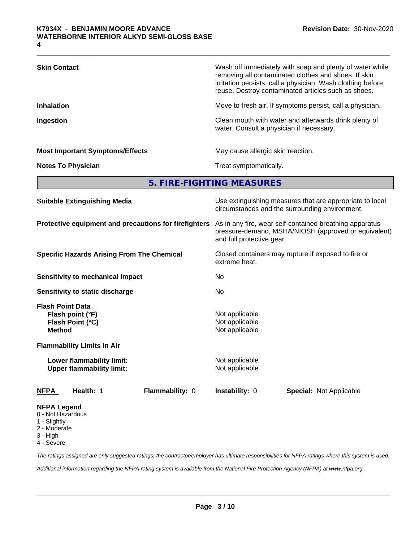| <b>Skin Contact</b>                                                                   | Wash off immediately with soap and plenty of water while<br>removing all contaminated clothes and shoes. If skin<br>irritation persists, call a physician. Wash clothing before<br>reuse. Destroy contaminated articles such as shoes. |  |  |  |
|---------------------------------------------------------------------------------------|----------------------------------------------------------------------------------------------------------------------------------------------------------------------------------------------------------------------------------------|--|--|--|
| <b>Inhalation</b>                                                                     | Move to fresh air. If symptoms persist, call a physician.                                                                                                                                                                              |  |  |  |
| Ingestion                                                                             | Clean mouth with water and afterwards drink plenty of<br>water. Consult a physician if necessary.                                                                                                                                      |  |  |  |
| <b>Most Important Symptoms/Effects</b>                                                | May cause allergic skin reaction.                                                                                                                                                                                                      |  |  |  |
| <b>Notes To Physician</b>                                                             | Treat symptomatically.                                                                                                                                                                                                                 |  |  |  |
|                                                                                       | 5. FIRE-FIGHTING MEASURES                                                                                                                                                                                                              |  |  |  |
| <b>Suitable Extinguishing Media</b>                                                   | Use extinguishing measures that are appropriate to local<br>circumstances and the surrounding environment.                                                                                                                             |  |  |  |
| Protective equipment and precautions for firefighters                                 | As in any fire, wear self-contained breathing apparatus<br>pressure-demand, MSHA/NIOSH (approved or equivalent)<br>and full protective gear.                                                                                           |  |  |  |
| <b>Specific Hazards Arising From The Chemical</b>                                     | Closed containers may rupture if exposed to fire or<br>extreme heat.                                                                                                                                                                   |  |  |  |
| <b>Sensitivity to mechanical impact</b>                                               | No                                                                                                                                                                                                                                     |  |  |  |
| Sensitivity to static discharge                                                       | No                                                                                                                                                                                                                                     |  |  |  |
| <b>Flash Point Data</b><br>Flash point (°F)<br>Flash Point (°C)<br><b>Method</b>      | Not applicable<br>Not applicable<br>Not applicable                                                                                                                                                                                     |  |  |  |
| <b>Flammability Limits In Air</b>                                                     |                                                                                                                                                                                                                                        |  |  |  |
| Lower flammability limit:<br><b>Upper flammability limit:</b>                         | Not applicable<br>Not applicable                                                                                                                                                                                                       |  |  |  |
| Flammability: 0<br>Health: 1<br><u>NFPA</u>                                           | Instability: 0<br><b>Special: Not Applicable</b>                                                                                                                                                                                       |  |  |  |
| <b>NFPA Legend</b><br>0 - Not Hazardous<br>1 - Slightly<br>2 - Moderate<br>$2 -$ High |                                                                                                                                                                                                                                        |  |  |  |

3 - High

4 - Severe

*The ratings assigned are only suggested ratings, the contractor/employer has ultimate responsibilities for NFPA ratings where this system is used.*

*Additional information regarding the NFPA rating system is available from the National Fire Protection Agency (NFPA) at www.nfpa.org.*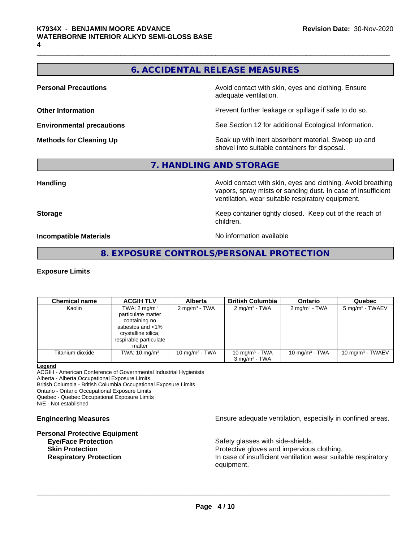# **6. ACCIDENTAL RELEASE MEASURES**

**Personal Precautions Avoid contact with skin, eyes and clothing. Ensure Personal Precautions** adequate ventilation.

**Other Information Determined Information Prevent further leakage or spillage if safe to do so.** 

**Environmental precautions** See Section 12 for additional Ecological Information.

**Methods for Cleaning Up Example 20 Soak** up with inert absorbent material. Sweep up and shovel into suitable containers for disposal.

# **7. HANDLING AND STORAGE**

**Handling Handling Avoid contact with skin, eyes and clothing. Avoid breathing** vapors, spray mists or sanding dust. In case of insufficient ventilation, wear suitable respiratory equipment.

**Storage Keep container tightly closed. Keep out of the reach of Keep** container tightly closed. Keep out of the reach of children.

**Incompatible Materials Incompatible Materials No information available** 

# **8. EXPOSURE CONTROLS/PERSONAL PROTECTION**

#### **Exposure Limits**

| <b>Chemical name</b> | <b>ACGIH TLV</b>                                                                                                                              | <b>Alberta</b>           | <b>British Columbia</b>                       | <b>Ontario</b>           | Quebec                      |
|----------------------|-----------------------------------------------------------------------------------------------------------------------------------------------|--------------------------|-----------------------------------------------|--------------------------|-----------------------------|
| Kaolin               | TWA: $2 \text{ mg/m}^3$<br>particulate matter<br>containing no<br>asbestos and <1%<br>crystalline silica,<br>respirable particulate<br>matter | $2 \text{ mg/m}^3$ - TWA | $2 \text{ mg/m}^3$ - TWA                      | $2 \text{ mg/m}^3$ - TWA | 5 mg/m <sup>3</sup> - TWAEV |
| Titanium dioxide     | TWA: $10 \text{ mg/m}^3$                                                                                                                      | 10 mg/m $3$ - TWA        | 10 mg/m $3$ - TWA<br>$3 \text{ ma/m}^3$ - TWA | 10 mg/m $3$ - TWA        | 10 mg/m $3$ - TWAEV         |

#### **Legend**

ACGIH - American Conference of Governmental Industrial Hygienists Alberta - Alberta Occupational Exposure Limits

British Columbia - British Columbia Occupational Exposure Limits

Ontario - Ontario Occupational Exposure Limits

Quebec - Quebec Occupational Exposure Limits

N/E - Not established

# **Personal Protective Equipment**

**Engineering Measures Ensure** Ensure adequate ventilation, especially in confined areas.

**Eye/Face Protection Safety glasses with side-shields. Skin Protection Protection Protective gloves and impervious clothing. Respiratory Protection In case of insufficient ventilation wear suitable respiratory** equipment.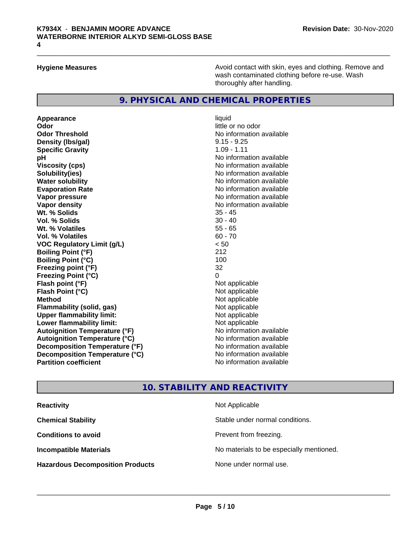**Hygiene Measures Avoid contact with skin, eyes and clothing. Remove and Avoid contact with skin, eyes and clothing. Remove and Avoid contact with skin, eyes and clothing. Remove and** wash contaminated clothing before re-use. Wash thoroughly after handling.

# **9. PHYSICAL AND CHEMICAL PROPERTIES**

**Appearance** liquid **Odor** little or no odor **Odor Threshold No information available Density (lbs/gal)** 9.15 - 9.25 **Specific Gravity** 1.09 - 1.11 **pH**<br>
Viscosity (cps) The Contract of the Contract of the Viscosity (cps) and Viscosity (cps) **Solubility(ies)**<br> **No information available**<br> **Water solubility**<br> **Water solubility Evaporation Rate Evaporation Rate No information available Vapor pressure** No information available No information available **Vapor density**<br> **We Solids**<br>
We Solids
25 - 45 Wt. % Solids **Vol. % Solids** 30 - 40<br> **Wt. % Volatiles** 30 - 40<br>
55 - 65 **Wt. % Volatiles Vol. % Volatiles** 60 - 70 **VOC Regulatory Limit (g/L)**  $\leq 50$ <br> **Roiling Point (°F)** 212 **Boiling Point (°F) Boiling Point (°C)** 100 **Freezing point (°F)** 32 **Freezing Point (°C) Flash point (°F)** Not applicable **Flash Point (°C)** Not applicable **Method** Not applicable **Flammability (solid, gas)** Not applicable **Upper flammability limit:**<br> **Lower flammability limit:** Not applicable Not applicable **Lower flammability limit: Autoignition Temperature (°F)**<br> **Autoignition Temperature (°C)** No information available **Autoignition Temperature (°C)**<br> **Decomposition Temperature (°F)** No information available **Decomposition Temperature (°F) Decomposition Temperature (°C)** No information available **Partition coefficient Community Contract Contract Contract Contract Contract Contract Contract Contract Contract Contract Contract Contract Contract Contract Contract Contract Contract Contract Contract Contract Contr** 

**Viscosity (cps)** No information available **No information available** 

### **10. STABILITY AND REACTIVITY**

| <b>Reactivity</b>                       | Not Applicable                           |
|-----------------------------------------|------------------------------------------|
| <b>Chemical Stability</b>               | Stable under normal conditions.          |
| <b>Conditions to avoid</b>              | Prevent from freezing.                   |
| <b>Incompatible Materials</b>           | No materials to be especially mentioned. |
| <b>Hazardous Decomposition Products</b> | None under normal use.                   |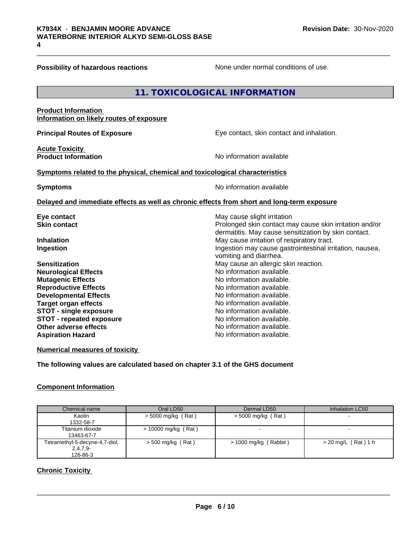**Possibility of hazardous reactions** None under normal conditions of use.

# **11. TOXICOLOGICAL INFORMATION**

#### **Product Information Information on likely routes of exposure**

**Acute Toxicity** 

**Principal Routes of Exposure Exposure** Eye contact, skin contact and inhalation.

**Product Information Intervalled and Contract Contract Contract Contract Product Information** 

#### **<u>Symptoms related to the physical, chemical and toxicological characteristics</u>**

**Symptoms** No information available

#### **Delayed and immediate effects as well as chronic effects from short and long-term exposure**

| May cause slight irritation                              |  |  |  |  |
|----------------------------------------------------------|--|--|--|--|
| Prolonged skin contact may cause skin irritation and/or  |  |  |  |  |
| dermatitis. May cause sensitization by skin contact.     |  |  |  |  |
| May cause irritation of respiratory tract.               |  |  |  |  |
| Ingestion may cause gastrointestinal irritation, nausea, |  |  |  |  |
| vomiting and diarrhea.                                   |  |  |  |  |
| May cause an allergic skin reaction.                     |  |  |  |  |
| No information available.                                |  |  |  |  |
| No information available.                                |  |  |  |  |
| No information available.                                |  |  |  |  |
| No information available.                                |  |  |  |  |
| No information available.                                |  |  |  |  |
| No information available.                                |  |  |  |  |
| No information available.                                |  |  |  |  |
| No information available.                                |  |  |  |  |
| No information available.                                |  |  |  |  |
|                                                          |  |  |  |  |

**Numerical measures of toxicity**

**The following values are calculated based on chapter 3.1 of the GHS document**

#### **Component Information**

| Chemical name                                            | Oral LD50             | Dermal LD50             | Inhalation LC50       |
|----------------------------------------------------------|-----------------------|-------------------------|-----------------------|
| Kaolin<br>1332-58-7                                      | $>$ 5000 mg/kg (Rat)  | $>$ 5000 mg/kg (Rat)    |                       |
| Titanium dioxide<br>13463-67-7                           | $> 10000$ mg/kg (Rat) |                         |                       |
| Tetramethyl-5-decyne-4,7-diol,<br>$2,4,7,9-$<br>126-86-3 | $>$ 500 mg/kg (Rat)   | $> 1000$ mg/kg (Rabbit) | $>$ 20 mg/L (Rat) 1 h |

# **Chronic Toxicity**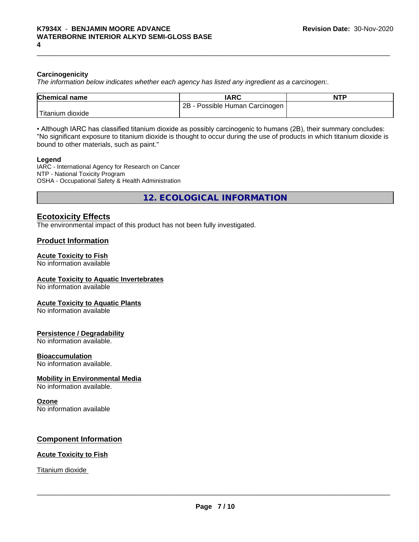#### **Carcinogenicity**

*The information below indicateswhether each agency has listed any ingredient as a carcinogen:.*

| <b>Chemical name</b> | <b>IARC</b>                        | <b>NTP</b> |
|----------------------|------------------------------------|------------|
|                      | 2B<br>Possible Human<br>Carcinogen |            |
| 'Titanium<br>dioxide |                                    |            |

• Although IARC has classified titanium dioxide as possibly carcinogenic to humans (2B), their summary concludes: "No significant exposure to titanium dioxide is thought to occur during the use of products in which titanium dioxide is bound to other materials, such as paint."

#### **Legend**

IARC - International Agency for Research on Cancer NTP - National Toxicity Program OSHA - Occupational Safety & Health Administration

**12. ECOLOGICAL INFORMATION**

### **Ecotoxicity Effects**

The environmental impact of this product has not been fully investigated.

### **Product Information**

# **Acute Toxicity to Fish**

No information available

#### **Acute Toxicity to Aquatic Invertebrates**

No information available

#### **Acute Toxicity to Aquatic Plants**

No information available

#### **Persistence / Degradability**

No information available.

#### **Bioaccumulation**

No information available.

#### **Mobility in Environmental Media**

No information available.

#### **Ozone**

No information available

#### **Component Information**

#### **Acute Toxicity to Fish**

Titanium dioxide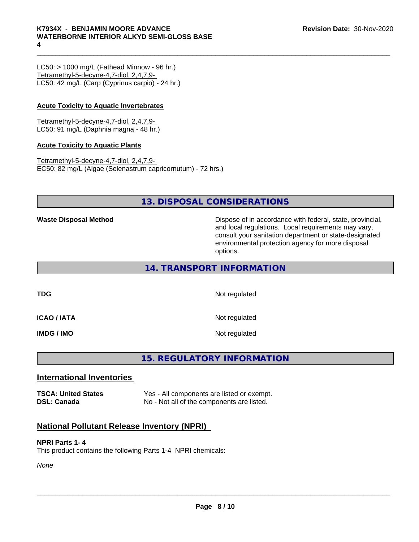$LC50:$  > 1000 mg/L (Fathead Minnow - 96 hr.) Tetramethyl-5-decyne-4,7-diol, 2,4,7,9- LC50: 42 mg/L (Carp (Cyprinus carpio) - 24 hr.)

## **Acute Toxicity to Aquatic Invertebrates**

Tetramethyl-5-decyne-4,7-diol, 2,4,7,9- LC50: 91 mg/L (Daphnia magna - 48 hr.)

#### **Acute Toxicity to Aquatic Plants**

Tetramethyl-5-decyne-4,7-diol, 2,4,7,9- EC50: 82 mg/L (Algae (Selenastrum capricornutum) - 72 hrs.)

# **13. DISPOSAL CONSIDERATIONS**

**Waste Disposal Method Dispose of in accordance with federal, state, provincial,** and local regulations. Local requirements may vary, consult your sanitation department or state-designated environmental protection agency for more disposal options.

**14. TRANSPORT INFORMATION**

**TDG** Not regulated **ICAO / IATA** Not regulated **IMDG / IMO** Not regulated

**15. REGULATORY INFORMATION**

# **International Inventories**

**TSCA: United States** Yes - All components are listed or exempt. **DSL: Canada** No - Not all of the components are listed.

# **National Pollutant Release Inventory (NPRI)**

#### **NPRI Parts 1- 4**

This product contains the following Parts 1-4 NPRI chemicals:

*None*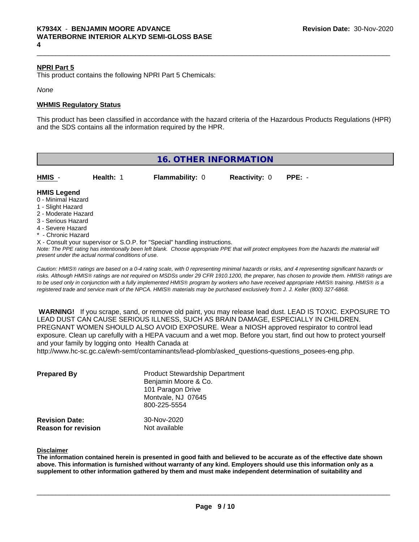#### **NPRI Part 5**

This product contains the following NPRI Part 5 Chemicals:

*None*

#### **WHMIS Regulatory Status**

This product has been classified in accordance with the hazard criteria of the Hazardous Products Regulations (HPR) and the SDS contains all the information required by the HPR.

| <b>16. OTHER INFORMATION</b> |                                                    |                                                                                                                               |                      |                                                                                                                                                 |  |
|------------------------------|----------------------------------------------------|-------------------------------------------------------------------------------------------------------------------------------|----------------------|-------------------------------------------------------------------------------------------------------------------------------------------------|--|
| HMIS -                       | Health: 1                                          | <b>Flammability: 0</b>                                                                                                        | <b>Reactivity: 0</b> | $PPE: -$                                                                                                                                        |  |
| <b>HMIS Legend</b>           |                                                    |                                                                                                                               |                      |                                                                                                                                                 |  |
| 0 - Minimal Hazard           |                                                    |                                                                                                                               |                      |                                                                                                                                                 |  |
| 1 - Slight Hazard            |                                                    |                                                                                                                               |                      |                                                                                                                                                 |  |
| 2 - Moderate Hazard          |                                                    |                                                                                                                               |                      |                                                                                                                                                 |  |
| 3 - Serious Hazard           |                                                    |                                                                                                                               |                      |                                                                                                                                                 |  |
| 4 - Severe Hazard            |                                                    |                                                                                                                               |                      |                                                                                                                                                 |  |
| * - Chronic Hazard           |                                                    |                                                                                                                               |                      |                                                                                                                                                 |  |
|                              |                                                    | X - Consult your supervisor or S.O.P. for "Special" handling instructions.                                                    |                      |                                                                                                                                                 |  |
|                              |                                                    |                                                                                                                               |                      | Note: The PPE rating has intentionally been left blank. Choose appropriate PPE that will protect employees from the hazards the material will   |  |
|                              | present under the actual normal conditions of use. |                                                                                                                               |                      |                                                                                                                                                 |  |
|                              |                                                    |                                                                                                                               |                      | Caution: HMIS® ratings are based on a 0-4 rating scale, with 0 representing minimal hazards or risks, and 4 representing significant hazards or |  |
|                              |                                                    |                                                                                                                               |                      | risks. Although HMIS® ratings are not required on MSDSs under 29 CFR 1910.1200, the preparer, has chosen to provide them. HMIS® ratings are     |  |
|                              |                                                    |                                                                                                                               |                      | to be used only in conjunction with a fully implemented HMIS® program by workers who have received appropriate HMIS® training. HMIS® is a       |  |
|                              |                                                    | registered trade and service mark of the NPCA. HMIS® materials may be purchased exclusively from J. J. Keller (800) 327-6868. |                      |                                                                                                                                                 |  |

 **WARNING!** If you scrape, sand, or remove old paint, you may release lead dust. LEAD IS TOXIC. EXPOSURE TO LEAD DUST CAN CAUSE SERIOUS ILLNESS, SUCH AS BRAIN DAMAGE, ESPECIALLY IN CHILDREN. PREGNANT WOMEN SHOULD ALSO AVOID EXPOSURE. Wear a NIOSH approved respirator to control lead exposure. Clean up carefully with a HEPA vacuum and a wet mop. Before you start, find out how to protect yourself and your family by logging onto Health Canada at

http://www.hc-sc.gc.ca/ewh-semt/contaminants/lead-plomb/asked\_questions-questions\_posees-eng.php.

| <b>Prepared By</b>                                  | <b>Product Stewardship Department</b><br>Benjamin Moore & Co.<br>101 Paragon Drive<br>Montvale, NJ 07645<br>800-225-5554 |  |
|-----------------------------------------------------|--------------------------------------------------------------------------------------------------------------------------|--|
| <b>Revision Date:</b><br><b>Reason for revision</b> | 30-Nov-2020<br>Not available                                                                                             |  |

#### **Disclaimer**

The information contained herein is presented in good faith and believed to be accurate as of the effective date shown above. This information is furnished without warranty of any kind. Emplovers should use this information only as a **supplement to other information gathered by them and must make independent determination of suitability and**